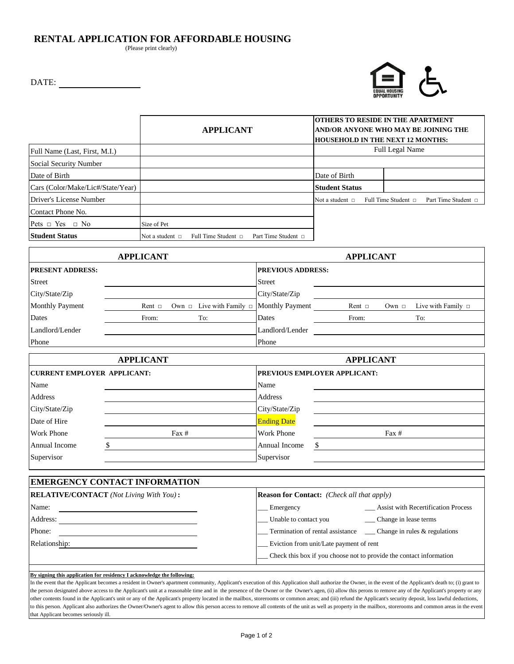## **RENTAL APPLICATION FOR AFFORDABLE HOUSING**

(Please print clearly)

DATE:



|                                   |                      | <b>APPLICANT</b>         |                          |                        |  | <b>OTHERS TO RESIDE IN THE APARTMENT</b><br> AND/OR ANYONE WHO MAY BE JOINING THE<br><b>HOUSEHOLD IN THE NEXT 12 MONTHS:</b> |  |
|-----------------------------------|----------------------|--------------------------|--------------------------|------------------------|--|------------------------------------------------------------------------------------------------------------------------------|--|
| Full Name (Last, First, M.I.)     |                      |                          |                          | <b>Full Legal Name</b> |  |                                                                                                                              |  |
| Social Security Number            |                      |                          |                          |                        |  |                                                                                                                              |  |
| Date of Birth                     |                      |                          |                          | Date of Birth          |  |                                                                                                                              |  |
| Cars (Color/Make/Lic#/State/Year) |                      |                          |                          | <b>Student Status</b>  |  |                                                                                                                              |  |
| Driver's License Number           |                      |                          |                          | Not a student $\Box$   |  | Full Time Student $\Box$<br>Part Time Student □                                                                              |  |
| Contact Phone No.                 |                      |                          |                          |                        |  |                                                                                                                              |  |
| Pets $\Box$ Yes $\Box$ No         | Size of Pet          |                          |                          |                        |  |                                                                                                                              |  |
| Student Status                    | Not a student $\Box$ | Full Time Student $\Box$ | Part Time Student $\Box$ |                        |  |                                                                                                                              |  |

|                         | <b>APPLICANT</b> |                                                    |                          |             |            |                         |
|-------------------------|------------------|----------------------------------------------------|--------------------------|-------------|------------|-------------------------|
| <b>PRESENT ADDRESS:</b> |                  |                                                    | <b>PREVIOUS ADDRESS:</b> |             |            |                         |
| <b>Street</b>           |                  |                                                    | <b>Street</b>            |             |            |                         |
| City/State/Zip          |                  |                                                    | City/State/Zip           |             |            |                         |
| <b>Monthly Payment</b>  | Rent $\Box$      | Own $\Box$ Live with Family $\Box$ Monthly Payment |                          | Rent $\Box$ | Own $\Box$ | Live with Family $\Box$ |
| Dates                   | From:            | To:                                                | Dates                    | From:       |            | To:                     |
| Landlord/Lender         |                  |                                                    | Landlord/Lender          |             |            |                         |
| Phone                   |                  |                                                    | Phone                    |             |            |                         |

|                                    | <b>APPLICANT</b> |                    | <b>APPLICANT</b>                    |  |  |  |
|------------------------------------|------------------|--------------------|-------------------------------------|--|--|--|
| <b>CURRENT EMPLOYER APPLICANT:</b> |                  |                    | <b>PREVIOUS EMPLOYER APPLICANT:</b> |  |  |  |
| Name                               |                  | Name               |                                     |  |  |  |
| Address                            |                  | Address            |                                     |  |  |  |
| City/State/Zip                     |                  | City/State/Zip     |                                     |  |  |  |
| Date of Hire                       |                  | <b>Ending Date</b> |                                     |  |  |  |
| <b>Work Phone</b>                  | $\text{Fax }#$   | <b>Work Phone</b>  | $\text{Fax} \#$                     |  |  |  |
| Annual Income                      |                  | Annual Income      |                                     |  |  |  |
| Supervisor                         |                  | Supervisor         |                                     |  |  |  |

| <b>EMERGENCY CONTACT INFORMATION</b>           |                                                                          |  |  |  |  |  |  |  |  |
|------------------------------------------------|--------------------------------------------------------------------------|--|--|--|--|--|--|--|--|
| <b>RELATIVE/CONTACT</b> (Not Living With You): | <b>Reason for Contact:</b> (Check all that apply)                        |  |  |  |  |  |  |  |  |
| Name:                                          | <b>Assist with Recertification Process</b><br>Emergency                  |  |  |  |  |  |  |  |  |
| Address:                                       | Unable to contact you<br>Change in lease terms                           |  |  |  |  |  |  |  |  |
| Phone:                                         | Termination of rental assistance<br>$\Box$ Change in rules & regulations |  |  |  |  |  |  |  |  |
| Relationship:                                  | Eviction from unit/Late payment of rent                                  |  |  |  |  |  |  |  |  |
|                                                | Check this box if you choose not to provide the contact information      |  |  |  |  |  |  |  |  |

**By signing this application for residency I acknowledge the following:**

In the event that the Applicant becomes a resident in Owner's apartment community, Applicant's execution of this Application shall authorize the Owner, in the event of the Applicant's death to; (i) grant to the person designated above access to the Applicant's unit at a reasonable time and in the presence of the Owner or the Owner's agen, (ii) allow this perons to remove any of the Applicant's property or any other contents found in the Applicant's unit or any of the Applicant's property located in the mailbox, storerooms or common areas; and (iii) refund the Applicant's security deposit, loss lawful deductions, to this person. Applicant also authorizes the Owner/Owner's agent to allow this person access to remove all contents of the unit as well as property in the mailbox, storerooms and common areas in the event that Applicant becomes seriously ill.